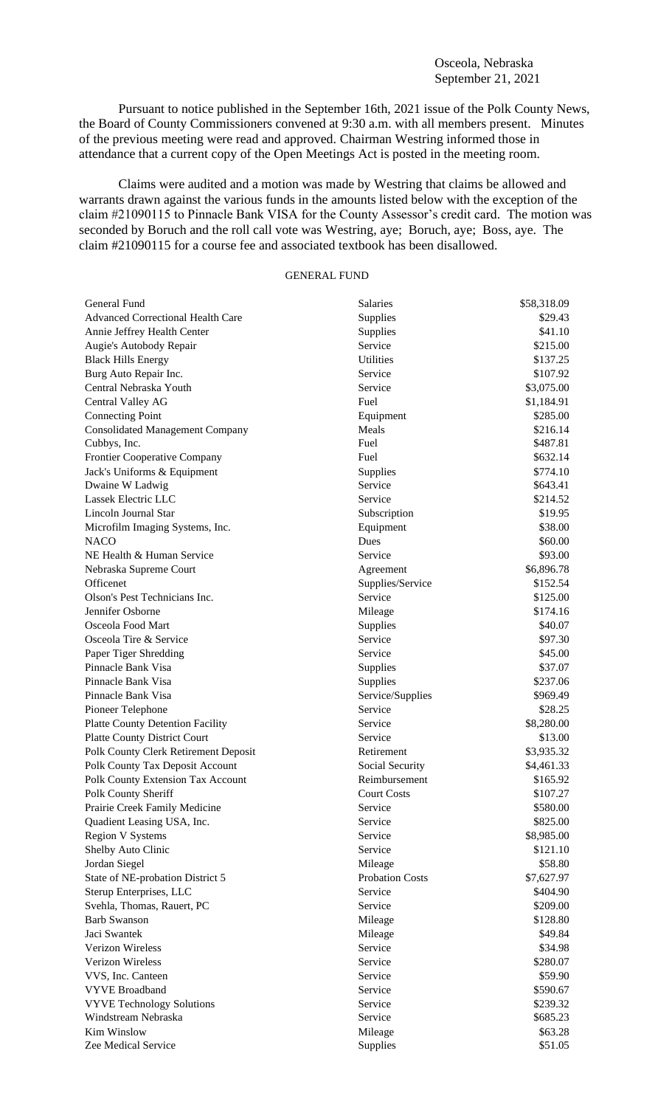Pursuant to notice published in the September 16th, 2021 issue of the Polk County News, the Board of County Commissioners convened at 9:30 a.m. with all members present. Minutes of the previous meeting were read and approved. Chairman Westring informed those in attendance that a current copy of the Open Meetings Act is posted in the meeting room.

Claims were audited and a motion was made by Westring that claims be allowed and warrants drawn against the various funds in the amounts listed below with the exception of the claim #21090115 to Pinnacle Bank VISA for the County Assessor's credit card. The motion was seconded by Boruch and the roll call vote was Westring, aye; Boruch, aye; Boss, aye. The claim #21090115 for a course fee and associated textbook has been disallowed.

## GENERAL FUND

| General Fund                             | <b>Salaries</b>        | \$58,318.09 |
|------------------------------------------|------------------------|-------------|
| <b>Advanced Correctional Health Care</b> | Supplies               | \$29.43     |
| Annie Jeffrey Health Center              | Supplies               | \$41.10     |
| Augie's Autobody Repair                  | Service                | \$215.00    |
| <b>Black Hills Energy</b>                | <b>Utilities</b>       | \$137.25    |
| Burg Auto Repair Inc.                    | Service                | \$107.92    |
| Central Nebraska Youth                   | Service                | \$3,075.00  |
| Central Valley AG                        | Fuel                   | \$1,184.91  |
| <b>Connecting Point</b>                  | Equipment              | \$285.00    |
| <b>Consolidated Management Company</b>   | Meals                  | \$216.14    |
| Cubbys, Inc.                             | Fuel                   | \$487.81    |
| Frontier Cooperative Company             | Fuel                   | \$632.14    |
| Jack's Uniforms & Equipment              | Supplies               | \$774.10    |
| Dwaine W Ladwig                          | Service                | \$643.41    |
| Lassek Electric LLC                      | Service                | \$214.52    |
| Lincoln Journal Star                     | Subscription           | \$19.95     |
| Microfilm Imaging Systems, Inc.          | Equipment              | \$38.00     |
| <b>NACO</b>                              | Dues                   | \$60.00     |
| NE Health & Human Service                | Service                | \$93.00     |
| Nebraska Supreme Court                   | Agreement              | \$6,896.78  |
| Officenet                                | Supplies/Service       | \$152.54    |
| Olson's Pest Technicians Inc.            | Service                | \$125.00    |
| Jennifer Osborne                         | Mileage                | \$174.16    |
| Osceola Food Mart                        | Supplies               | \$40.07     |
| Osceola Tire & Service                   | Service                | \$97.30     |
| Paper Tiger Shredding                    | Service                | \$45.00     |
| Pinnacle Bank Visa                       | Supplies               | \$37.07     |
| Pinnacle Bank Visa                       | Supplies               | \$237.06    |
| Pinnacle Bank Visa                       | Service/Supplies       | \$969.49    |
| Pioneer Telephone                        | Service                | \$28.25     |
| <b>Platte County Detention Facility</b>  | Service                | \$8,280.00  |
| <b>Platte County District Court</b>      | Service                | \$13.00     |
| Polk County Clerk Retirement Deposit     | Retirement             | \$3,935.32  |
| Polk County Tax Deposit Account          | Social Security        | \$4,461.33  |
| Polk County Extension Tax Account        | Reimbursement          | \$165.92    |
| Polk County Sheriff                      | <b>Court Costs</b>     | \$107.27    |
| Prairie Creek Family Medicine            | Service                | \$580.00    |
| Quadient Leasing USA, Inc.               | Service                | \$825.00    |
| <b>Region V Systems</b>                  | Service                | \$8,985.00  |
| Shelby Auto Clinic                       | Service                | \$121.10    |
| Jordan Siegel                            | Mileage                | \$58.80     |
| State of NE-probation District 5         | <b>Probation Costs</b> | \$7,627.97  |
| Sterup Enterprises, LLC                  | Service                | \$404.90    |
| Svehla, Thomas, Rauert, PC               | Service                | \$209.00    |
| <b>Barb Swanson</b>                      | Mileage                | \$128.80    |
| Jaci Swantek                             | Mileage                | \$49.84     |
| <b>Verizon Wireless</b>                  | Service                | \$34.98     |
| Verizon Wireless                         | Service                | \$280.07    |
| VVS, Inc. Canteen                        | Service                | \$59.90     |
| <b>VYVE Broadband</b>                    | Service                | \$590.67    |
| <b>VYVE Technology Solutions</b>         | Service                | \$239.32    |
| Windstream Nebraska                      | Service                | \$685.23    |
| Kim Winslow                              | Mileage                | \$63.28     |
| Zee Medical Service                      | Supplies               | \$51.05     |
|                                          |                        |             |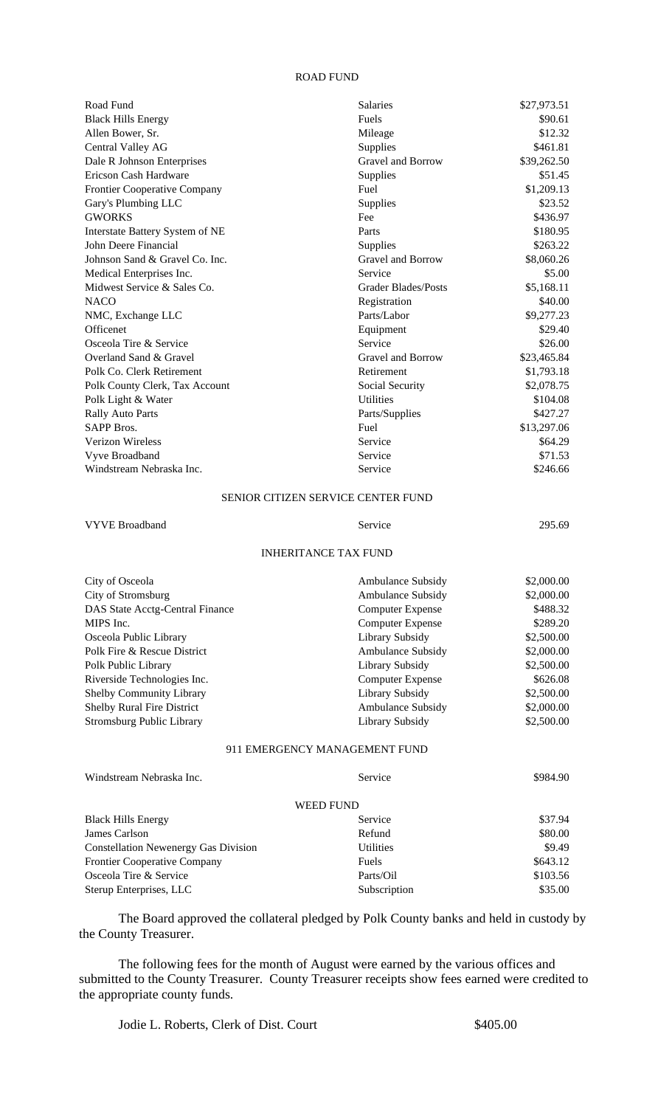## ROAD FUND

| Road Fund                           | <b>Salaries</b>            | \$27,973.51 |
|-------------------------------------|----------------------------|-------------|
| <b>Black Hills Energy</b>           | Fuels                      | \$90.61     |
| Allen Bower, Sr.                    | Mileage                    | \$12.32     |
| Central Valley AG                   | Supplies                   | \$461.81    |
| Dale R Johnson Enterprises          | Gravel and Borrow          | \$39,262.50 |
| Ericson Cash Hardware               | <b>Supplies</b>            | \$51.45     |
| <b>Frontier Cooperative Company</b> | Fuel                       | \$1,209.13  |
| Gary's Plumbing LLC                 | Supplies                   | \$23.52     |
| <b>GWORKS</b>                       | Fee                        | \$436.97    |
| Interstate Battery System of NE     | Parts                      | \$180.95    |
| John Deere Financial                | Supplies                   | \$263.22    |
| Johnson Sand & Gravel Co. Inc.      | Gravel and Borrow          | \$8,060.26  |
| Medical Enterprises Inc.            | Service                    | \$5.00      |
| Midwest Service & Sales Co.         | <b>Grader Blades/Posts</b> | \$5,168.11  |
| <b>NACO</b>                         | Registration               | \$40.00     |
| NMC, Exchange LLC                   | Parts/Labor                | \$9,277.23  |
| Officenet                           | Equipment                  | \$29.40     |
| Osceola Tire & Service              | Service                    | \$26.00     |
| Overland Sand & Gravel              | <b>Gravel and Borrow</b>   | \$23,465.84 |
| Polk Co. Clerk Retirement           | Retirement                 | \$1,793.18  |
| Polk County Clerk, Tax Account      | Social Security            | \$2,078.75  |
| Polk Light & Water                  | <b>Utilities</b>           | \$104.08    |
| <b>Rally Auto Parts</b>             | Parts/Supplies             | \$427.27    |
| <b>SAPP Bros.</b>                   | Fuel                       | \$13,297.06 |
| <b>Verizon Wireless</b>             | Service                    | \$64.29     |
| Vyve Broadband                      | Service                    | \$71.53     |
| Windstream Nebraska Inc.            | Service                    | \$246.66    |
|                                     |                            |             |

## SENIOR CITIZEN SERVICE CENTER FUND

| <b>VYVE Broadband</b>             | Service                 | 295.69     |  |
|-----------------------------------|-------------------------|------------|--|
| <b>INHERITANCE TAX FUND</b>       |                         |            |  |
| City of Osceola                   | Ambulance Subsidy       | \$2,000.00 |  |
| City of Stromsburg                | Ambulance Subsidy       | \$2,000.00 |  |
| DAS State Acctg-Central Finance   | <b>Computer Expense</b> | \$488.32   |  |
| MIPS Inc.                         | <b>Computer Expense</b> | \$289.20   |  |
| Osceola Public Library            | Library Subsidy         | \$2,500.00 |  |
| Polk Fire & Rescue District       | Ambulance Subsidy       | \$2,000.00 |  |
| Polk Public Library               | Library Subsidy         | \$2,500.00 |  |
| Riverside Technologies Inc.       | <b>Computer Expense</b> | \$626.08   |  |
| <b>Shelby Community Library</b>   | Library Subsidy         | \$2,500.00 |  |
| <b>Shelby Rural Fire District</b> | Ambulance Subsidy       | \$2,000.00 |  |
| <b>Stromsburg Public Library</b>  | Library Subsidy         | \$2,500.00 |  |

## 911 EMERGENCY MANAGEMENT FUND

| Windstream Nebraska Inc.                    | Service      | \$984.90 |  |  |
|---------------------------------------------|--------------|----------|--|--|
| <b>WEED FUND</b>                            |              |          |  |  |
| <b>Black Hills Energy</b>                   | Service      | \$37.94  |  |  |
| James Carlson                               | Refund       | \$80.00  |  |  |
| <b>Constellation Newenergy Gas Division</b> | Utilities    | \$9.49   |  |  |
| <b>Frontier Cooperative Company</b>         | Fuels        | \$643.12 |  |  |
| Osceola Tire & Service                      | Parts/Oil    | \$103.56 |  |  |
| Sterup Enterprises, LLC                     | Subscription | \$35.00  |  |  |

The Board approved the collateral pledged by Polk County banks and held in custody by the County Treasurer.

The following fees for the month of August were earned by the various offices and submitted to the County Treasurer. County Treasurer receipts show fees earned were credited to the appropriate county funds.